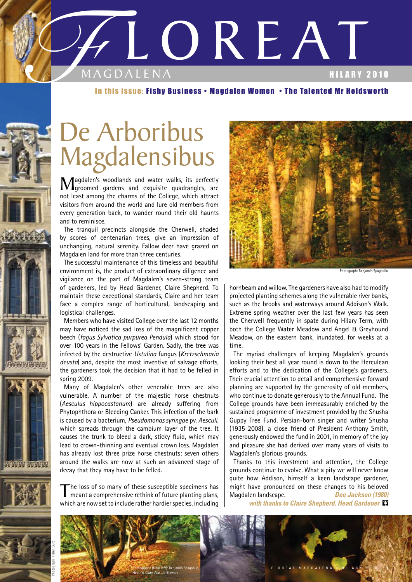

#### In this issue: Fishy Business • Magdalen Women • The Talented Mr Holdsworth

## De Arboribus Magdalensibus

Magdalen's woodlands and water walks, its perfectly<br>groomed gardens and exquisite quadrangles, are not least among the charms of the College, which attract visitors from around the world and lure old members from every generation back, to wander round their old haunts and to reminisce.

The tranquil precincts alongside the Cherwell, shaded by scores of centenarian trees, give an impression of unchanging, natural serenity. Fallow deer have grazed on Magdalen land for more than three centuries.

The successful maintenance of this timeless and beautiful environment is, the product of extraordinary diligence and vigilance on the part of Magdalen's seven-strong team of gardeners, led by Head Gardener, Claire Shepherd. To maintain these exceptional standards, Claire and her team face a complex range of horticultural, landscaping and logistical challenges.

Members who have visited College over the last 12 months may have noticed the sad loss of the magnificent copper beech (*fagus Sylvatica purpurea Pendula*) which stood for over 100 years in the Fellows' Garden. Sadly, the tree was infected by the destructive *Ustulina* fungus (*Kretzschmaria deusta*) and, despite the most inventive of salvage efforts, the gardeners took the decision that it had to be felled in spring 2009.

Many of Magdalen's other venerable trees are also vulnerable. A number of the majestic horse chestnuts (*Aesculus hippocastanum*) are already suffering from Phytophthora or Bleeding Canker. This infection of the bark is caused by a bacterium, *Pseudomonas syringae* pv. *Aesculi*, which spreads through the cambium layer of the tree. It causes the trunk to bleed a dark, sticky fluid, which may lead to crown-thinning and eventual crown loss. Magdalen has already lost three prize horse chestnuts; seven others around the walks are now at such an advanced stage of decay that they may have to be felled.

The loss of so many of these susceptible specimens has meant a comprehensive rethink of future planting plans, which are now set to include rather hardier species, including

**NINEN WORL** 



Photograph: Benjamin Spagnalio

hornbeam and willow. The gardeners have also had to modify projected planting schemes along the vulnerable river banks, such as the brooks and waterways around Addison's Walk. Extreme spring weather over the last few years has seen the Cherwell frequently in spate during Hilary Term, with both the College Water Meadow and Angel & Greyhound Meadow, on the eastern bank, inundated, for weeks at a time.

The myriad challenges of keeping Magdalen's grounds looking their best all year round is down to the Herculean efforts and to the dedication of the College's gardeners. Their crucial attention to detail and comprehensive forward planning are supported by the generosity of old members, who continue to donate generously to the Annual Fund. The College grounds have been immeasurably enriched by the sustained programme of investment provided by the Shusha Guppy Tree Fund. Persian-born singer and writer Shusha (1935-2008), a close friend of President Anthony Smith, generously endowed the fund in 2001, in memory of the joy and pleasure she had derived over many years of visits to Magdalen's glorious grounds.

Thanks to this investment and attention, the College grounds continue to evolve. What a pity we will never know quite how Addison, himself a keen landscape gardener, might have pronounced on these changes to his beloved Magdalen landscape. *Dee Jackson (1980)*

*with thanks to Claire Shepherd, Head Gardener* 

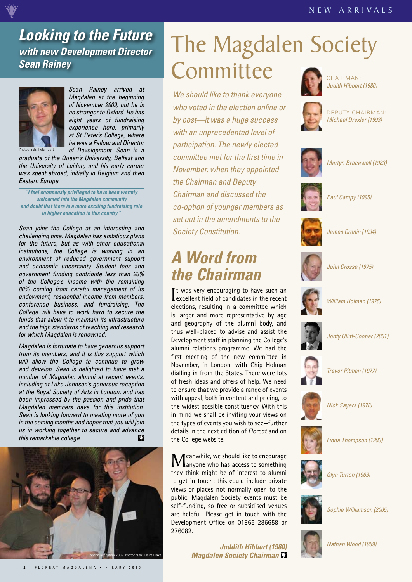#### *Looking to the Future with new Development Director Sean Rainey*



*Sean Rainey arrived at Magdalen at the beginning of November 2009, but he is no stranger to Oxford. He has eight years of fundraising experience here, primarily at St Peter's College, where he was a Fellow and Director of Development. Sean is a* 

*graduate of the Queen's University, Belfast and the University of Leiden, and his early career was spent abroad, initially in Belgium and then Eastern Europe.*

*"I feel enormously privileged to have been warmly welcomed into the Magdalen community and doubt that there is a more exciting fundraising role in higher education in this country."*

*Sean joins the College at an interesting and challenging time. Magdalen has ambitious plans for the future, but as with other educational institutions, the College is working in an environment of reduced government support and economic uncertainty. Student fees and government funding contribute less than 20% of the College's income with the remaining 80% coming from careful management of its endowment, residential income from members, conference business, and fundraising. The College will have to work hard to secure the funds that allow it to maintain its infrastructure and the high standards of teaching and research for which Magdalen is renowned.*

*Magdalen is fortunate to have generous support from its members, and it is this support which will allow the College to continue to grow and develop. Sean is delighted to have met a number of Magdalen alumni at recent events, including at Luke Johnson's generous reception at the Royal Society of Arts in London, and has been impressed by the passion and pride that Magdalen members have for this institution. Sean is looking forward to meeting more of you in the coming months and hopes that you will join us in working together to secure and advance*   $\mathbf{C}$ *this remarkable college.*



### The Magdalen Society **Committee**

*We should like to thank everyone who voted in the election online or by post—it was a huge success with an unprecedented level of participation. The newly elected committee met for the first time in November, when they appointed the Chairman and Deputy Chairman and discussed the co-option of younger members as set out in the amendments to the Society Constitution.*

### *A Word from the Chairman*

It was very encouraging to have such an<br>excellent field of candidates in the recent It was very encouraging to have such an elections, resulting in a committee which is larger and more representative by age and geography of the alumni body, and thus well-placed to advise and assist the Development staff in planning the College's alumni relations programme. We had the first meeting of the new committee in November, in London, with Chip Holman dialling in from the States. There were lots of fresh ideas and offers of help. We need to ensure that we provide a range of events with appeal, both in content and pricing, to the widest possible constituency. With this in mind we shall be inviting your views on the types of events you wish to see—further details in the next edition of *Floreat* and on the College website.

Meanwhile, we should like to encourage<br>anyone who has access to something they think might be of interest to alumni to get in touch: this could include private views or places not normally open to the public. Magdalen Society events must be self-funding, so free or subsidised venues are helpful. Please get in touch with the Development Office on 01865 286658 or 276082.

> *Juddith Hibbert (1980) Magdalen Society Chairman*



CHAIRMAN: *Judith Hibbert (1980)*



DEPUTY CHAIRMAN: *Michael Drexler (1993)*





*Martyn Bracewell (1983)*



*Paul Campy (1995)*



*James Cronin (1994)*



*John Crosse (1975)*



*Jonty Olliff-Cooper (2001)*



*Trevor Pitman (1977)*



*Nick Sayers (1978)*



*Fiona Thompson (1993)*



*Glyn Turton (1963)*



*Sophie Williamson (2005)*



*Nathan Wood (1989)*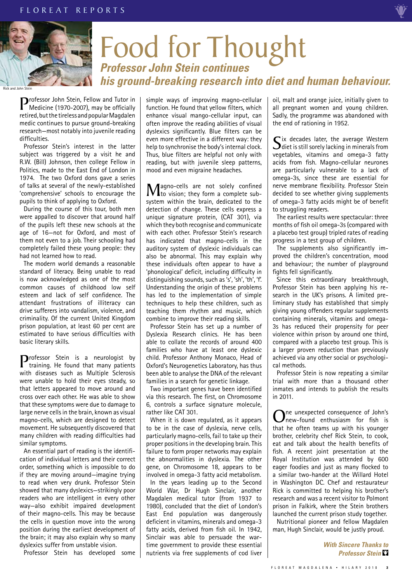

## Food for Thought *Professor John Stein continues his ground-breaking research into diet and human behaviour.*

**Professor John Stein, Fellow and Tutor in** Medicine (1970-2007), may be officially retired, but the tireless and popular Magdalen medic continues to pursue ground-breaking research—most notably into juvenile reading difficulties.

Professor Stein's interest in the latter subject was triggered by a visit he and R.W. (Bill) Johnson, then college Fellow in Politics, made to the East End of London in 1974. The two Oxford dons gave a series of talks at several of the newly-established 'comprehensive' schools to encourage the pupils to think of applying to Oxford.

During the course of this tour, both men were appalled to discover that around half of the pupils left these new schools at the age of 16—not for Oxford, and most of them not even to a job. Their schooling had completely failed these young people: they had not learned how to read.

The modern world demands a reasonable standard of literacy. Being unable to read is now acknowledged as one of the most common causes of childhood low self esteem and lack of self confidence. The attendant frustrations of illiteracy can drive sufferers into vandalism, violence, and criminality. Of the current United Kingdom prison population, at least 60 per cent are estimated to have serious difficulties with basic literary skills.

**Professor Stein is a neurologist by** training. He found that many patients with diseases such as Multiple Sclerosis were unable to hold their eyes steady, so that letters appeared to move around and cross over each other. He was able to show that these symptoms were due to damage to large nerve cells in the brain, known as visual magno-cells, which are designed to detect movement. He subsequently discovered that many children with reading difficulties had similar symptoms.

An essential part of reading is the identification of individual letters and their correct order, something which is impossible to do if they are moving around—imagine trying to read when very drunk. Professor Stein showed that many dyslexics—strikingly poor readers who are intelligent in every other way—also exhibit impaired development of their magno-cells. This may be because the cells in question move into the wrong position during the earliest development of the brain; it may also explain why so many dyslexics suffer from unstable vision.

Professor Stein has developed some

simple ways of improving magno-cellular function. He found that yellow filters, which enhance visual mango-cellular input, can often improve the reading abilities of visual dyslexics significantly. Blue filters can be even more effective in a different way: they help to synchronise the body's internal clock. Thus, blue filters are helpful not only with reading, but with juvenile sleep patterns, mood and even migraine headaches.

Magno-cells are not solely confined<br>
to vision; they form a complete sub-<br>
antenn within the basic dedicated to the system within the brain, dedicated to the detection of change. These cells express a unique signature protein, (CAT 301), via which they both recognise and communicate with each other. Professor Stein's research has indicated that magno-cells in the auditory system of dyslexic individuals can also be abnormal. This may explain why these individuals often appear to have a 'phonological' deficit, including difficulty in distinguishing sounds, such as 's', 'sh', 'th', 'f'. Understanding the origin of these problems has led to the implementation of simple techniques to help these children, such as teaching them rhythm and music, which combine to improve their reading skills.

Professor Stein has set up a number of Dyslexia Research clinics. He has been able to collate the records of around 400 families who have at least one dyslexic child. Professor Anthony Monaco, Head of Oxford's Neurogenetics Laboratory, has thus been able to analyse the DNA of the relevant families in a search for genetic linkage.

Two important genes have been identified via this research. The first, on Chromosome 6, controls a surface signature molecule, rather like CAT 301.

When it is down regulated, as it appears to be in the case of dyslexia, nerve cells, particularly magno-cells, fail to take up their proper positions in the developing brain. This failure to form proper networks may explain the abnormalities in dyslexia. The other gene, on Chromosome 18, appears to be involved in omega-3 fatty acid metabolism.

In the years leading up to the Second World War, Dr Hugh Sinclair, another Magdalen medical tutor (from 1937 to 1980), concluded that the diet of London's East End population was dangerously deficient in vitamins, minerals and omega-3 fatty acids, derived from fish oil. In 1942, Sinclair was able to persuade the wartime government to provide these essential nutrients via free supplements of cod liver

oil, malt and orange juice, initially given to all pregnant women and young children. Sadly, the programme was abandoned with the end of rationing in 1952.

Six decades later, the average Western<br>diet is still sorely lacking in minerals from vegetables, vitamins and omega-3 fatty acids from fish. Magno-cellular neurones are particularly vulnerable to a lack of omega-3s, since these are essential for nerve membrane flexibility. Professor Stein decided to see whether giving supplements of omega-3 fatty acids might be of benefit to struggling readers.

The earliest results were spectacular: three months of fish oil omega-3s (compared with a placebo test group) tripled rates of reading progress in a test group of children.

The supplements also significantly improved the children's concentration, mood and behaviour; the number of playground fights fell significantly.

Since this extraordinary breakthrough, Professor Stein has been applying his research in the UK's prisons. A limited preliminary study has established that simply giving young offenders regular supplements containing minerals, vitamins and omega-3s has reduced their propensity for peer violence within prison by around one third, compared with a placebo test group. This is a larger proven reduction than previously achieved via any other social or psychological methods.

Professor Stein is now repeating a similar trial with more than a thousand other inmates and intends to publish the results in 2011.

One unexpected consequence of John's<br>that he often terms un with his common that he often teams up with his younger brother, celebrity chef Rick Stein, to cook, eat and talk about the health benefits of fish. A recent joint presentation at the Royal Institution was attended by 600 eager foodies and just as many flocked to a similar two-hander at the Willard Hotel in Washington DC. Chef and restaurateur Rick is committed to helping his brother's research and was a recent visitor to Polmont prison in Falkirk, where the Stein brothers launched the current prison study together. Nutritional pioneer and fellow Magdalen man, Hugh Sinclair, would be justly proud.

> *With Sincere Thanks to Professor Stein*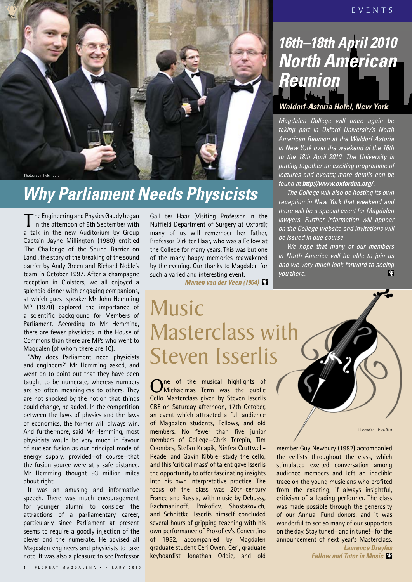

### *Why Parliament Needs Physicists*

The Engineering and Physics Gaudy began<br>in the afternoon of 5th September with a talk in the new Auditorium by Group Captain Jayne Millington (1980) entitled 'The Challenge of the Sound Barrier on Land', the story of the breaking of the sound barrier by Andy Green and Richard Noble's team in October 1997. After a champagne reception in Cloisters, we all enjoyed a splendid dinner with engaging companions, at which guest speaker Mr John Hemming MP (1978) explored the importance of a scientific background for Members of Parliament. According to Mr Hemming, there are fewer physicists in the House of Commons than there are MPs who went to Magdalen (of whom there are 10).

'Why does Parliament need physicists and engineers?' Mr Hemming asked, and went on to point out that they have been taught to be numerate, whereas numbers are so often meaningless to others. They are not shocked by the notion that things could change, he added. In the competition between the laws of physics and the laws of economics, the former will always win. And furthermore, said Mr Hemming, most physicists would be very much in favour of nuclear fusion as our principal mode of energy supply, provided—of course—that the fusion source were at a safe distance. Mr Hemming thought 93 million miles about right.

It was an amusing and informative speech. There was much encouragement for younger alumni to consider the attractions of a parliamentary career, particularly since Parliament at present seems to require a goodly injection of the clever and the numerate. He advised all Magdalen engineers and physicists to take note. It was also a pleasure to see Professor Gail ter Haar (Visiting Professor in the Nuffield Department of Surgery at Oxford); many of us will remember her father, Professor Dirk ter Haar, who was a Fellow at the College for many years. This was but one of the many happy memories reawakened by the evening. Our thanks to Magdalen for such a varied and interesting event.

*Marten van der Veen (1964)*

### *Waldorf-Astoria Hotel, New York 16th–18th April 2010 North American Reunion*

*Magdalen College will once again be taking part in Oxford University's North American Reunion at the Waldorf Astoria in New York over the weekend of the 16th to the 18th April 2010. The University is putting together an exciting programme of lectures and events; more details can be found at http://www.oxfordna.org/ .*

*The College will also be hosting its own reception in New York that weekend and there will be a special event for Magdalen lawyers. Further information will appear on the College website and invitations will be issued in due course.* 

*We hope that many of our members in North America will be able to join us and we very much look forward to seeing you there.* 

Music Masterclass with Steven Isserlis

One of the musical highlights of<br>
Michaelmas Term was the public Cello Masterclass given by Steven Isserlis CBE on Saturday afternoon, 17th October, an event which attracted a full audience of Magdalen students, Fellows, and old members. No fewer than five junior members of College—Chris Terepin, Tim Coombes, Stefan Knapik, Ninfea Cruttwell-Reade, and Gavin Kibble—study the cello, and this 'critical mass' of talent gave Isserlis the opportunity to offer fascinating insights into his own interpretative practice. The focus of the class was 20th-century France and Russia, with music by Debussy, Rachmaninoff, Prokofiev, Shostakovich, and Schnittke. Isserlis himself concluded several hours of gripping teaching with his own performance of Prokofiev's Concertino of 1952, accompanied by Magdalen graduate student Ceri Owen. Ceri, graduate keyboardist Jonathan Oddie, and old

Illustration: Helen Burt

member Guy Newbury (1982) accompanied the cellists throughout the class, which stimulated excited conversation among audience members and left an indelible trace on the young musicians who profited from the exacting, if always insightful, criticism of a leading performer. The class was made possible through the generosity of our Annual Fund donors, and it was wonderful to see so many of our supporters on the day. Stay tuned—and in tune!—for the announcement of next year's Masterclass.

*Laurence Dreyfus Fellow and Tutor in Music*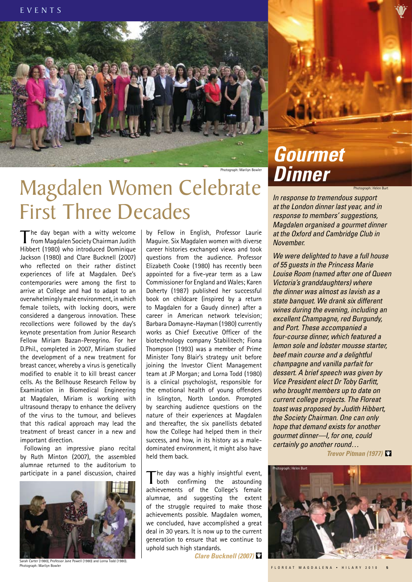

Photograph: Marilyn Bowler

## **Magdalen Women Celebrate** First Three Decades

The day began with a witty welcome<br>from Magdalen Society Chairman Judith Hibbert (1980) who introduced Dominique Jackson (1980) and Clare Bucknell (2007) who reflected on their rather distinct experiences of life at Magdalen. Dee's contemporaries were among the first to arrive at College and had to adapt to an overwhelmingly male environment, in which female toilets, with locking doors, were considered a dangerous innovation. These recollections were followed by the day's keynote presentation from Junior Research Fellow Miriam Bazan-Peregrino. For her D.Phil., completed in 2007, Miriam studied the development of a new treatment for breast cancer, whereby a virus is genetically modified to enable it to kill breast cancer cells. As the Bellhouse Research Fellow by Examination in Biomedical Engineering at Magdalen, Miriam is working with ultrasound therapy to enhance the delivery of the virus to the tumour, and believes that this radical approach may lead the treatment of breast cancer in a new and important direction.

Following an impressive piano recital by Ruth Minton (2007), the assembled alumnae returned to the auditorium to participate in a panel discussion, chaired



arah Carter (1980), Professor Jane Powell (1980) and Lorna Todd (1980). Photograph: Marilyn Bowler

by Fellow in English, Professor Laurie Maguire. Six Magdalen women with diverse career histories exchanged views and took questions from the audience. Professor Elizabeth Cooke (1980) has recently been appointed for a five-year term as a Law Commissioner for England and Wales; Karen Doherty (1987) published her successful book on childcare (inspired by a return to Magdalen for a Gaudy dinner) after a career in American network television; Barbara Domayne-Hayman (1980) currently works as Chief Executive Officer of the biotechnology company Stabilitech; Fiona Thompson (1993) was a member of Prime Minister Tony Blair's strategy unit before joining the Investor Client Management team at JP Morgan; and Lorna Todd (1980) is a clinical psychologist, responsible for the emotional health of young offenders in Islington, North London. Prompted by searching audience questions on the nature of their experiences at Magdalen and thereafter, the six panellists debated how the College had helped them in their success, and how, in its history as a maledominated environment, it might also have held them back.

The day was a highly insightful event,<br>
both confirming the astounding achievements of the College's female alumnae, and suggesting the extent of the struggle required to make those achievements possible. Magdalen women, we concluded, have accomplished a great deal in 30 years. It is now up to the current generation to ensure that we continue to uphold such high standards.

*Clare Bucknell (2007)*

# *Gourmet*

Photograph: Helen Burt

*In response to tremendous support at the London dinner last year, and in response to members' suggestions, Magdalen organised a gourmet dinner at the Oxford and Cambridge Club in November.* 

*We were delighted to have a full house of 55 guests in the Princess Marie Louise Room (named after one of Queen Victoria's granddaughters) where the dinner was almost as lavish as a state banquet. We drank six different wines during the evening, including an excellent Champagne, red Burgundy, and Port. These accompanied a four-course dinner, which featured a lemon sole and lobster mousse starter, beef main course and a delightful champagne and vanilla parfait for dessert. A brief speech was given by Vice President elect Dr Toby Garfitt, who brought members up to date on current college projects. The Floreat toast was proposed by Judith Hibbert, the Society Chairman. One can only hope that demand exists for another gourmet dinner—I, for one, could certainly go another round…*

*Trevor Pitman (1977)* 

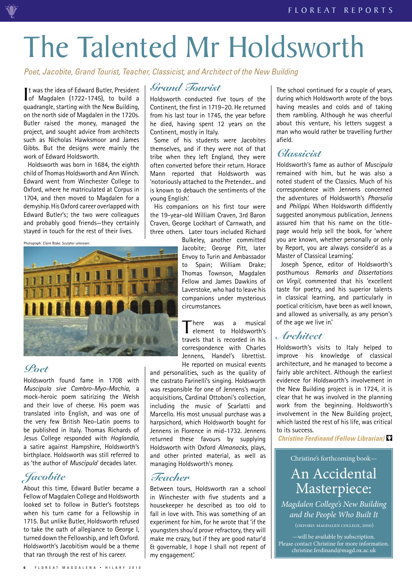## The Talented Mr Holdsworth

*Poet, Jacobite, Grand Tourist, Teacher, Classicist, and Architect of the New Building*

It was the idea of Edward Butler, President<br>
of Magdalen (1722-1745), to build a of Magdalen (1722-1745), to build a quadrangle, starting with the New Building, on the north side of Magdalen in the 1720s. Butler raised the money, managed the project, and sought advice from architects such as Nicholas Hawksmoor and James Gibbs. But the designs were mainly the work of Edward Holdsworth.

Holdsworth was born in 1684, the eighth child of Thomas Holdsworth and Ann Winch. Edward went from Winchester College to Oxford, where he matriculated at Corpus in 1704, and then moved to Magdalen for a demyship. His Oxford career overlapped with Edward Butler's; the two were colleagues and probably good friends—they certainly stayed in touch for the rest of their lives.

Photograph: Claire Blake. Sculptor unknown.



#### *Poet*

Holdsworth found fame in 1708 with *Muscipula sive Cambro-Myo-Machia*, a mock-heroic poem satirizing the Welsh and their love of cheese. His poem was translated into English, and was one of the very few British Neo-Latin poems to be published in Italy. Thomas Richards of Jesus College responded with *Hoglandia*, a satire against Hampshire, Holdsworth's birthplace. Holdsworth was still referred to as 'the author of *Muscipula*' decades later.

#### *Jacobite*

About this time, Edward Butler became a Fellow of Magdalen College and Holdsworth looked set to follow in Butler's footsteps when his turn came for a Fellowship in 1715. But unlike Butler, Holdsworth refused to take the oath of allegiance to George I, turned down the Fellowship, and left Oxford. Holdsworth's Jacobitism would be a theme that ran through the rest of his career.

#### *Grand Tourist*

Holdsworth conducted five tours of the Continent, the first in 1719–20. He returned from his last tour in 1745, the year before he died, having spent 12 years on the Continent, mostly in Italy.

Some of his students were Jacobites themselves, and if they were not of that tribe when they left England, they were often converted before their return. Horace Mann reported that Holdsworth was 'notoriously attached to the Pretender... and is known to debauch the sentiments of the young English.'

His companions on his first tour were the 19-year-old William Craven, 3rd Baron Craven, George Lockhart of Carnwath, and three others. Later tours included Richard

Bulkeley, another committed Jacobite; George Pitt, later Envoy to Turin and Ambassador to Spain; William Drake; Thomas Townson, Magdalen Fellow and James Dawkins of Laverstoke, who had to leave his companions under mysterious circumstances.

There was a musical<br>
element to Holdsworth's travels that is recorded in his correspondence with Charles Jennens, Handel's librettist. He reported on musical events

and personalities, such as the quality of the castrato Farinelli's singing. Holdsworth was responsible for one of Jennens's major acquisitions, Cardinal Ottoboni's collection, including the music of Scarlatti and Marcello. His most unusual purchase was a harpsichord, which Holdsworth bought for Jennens in Florence in mid-1732. Jennens returned these favours by supplying Holdsworth with Oxford *Almanacks*, plays, and other printed material, as well as managing Holdsworth's money.

#### *Teacher*

Between tours, Holdsworth ran a school in Winchester with five students and a housekeeper he described as too old to fall in love with. This was something of an experiment for him, for he wrote that 'if the youngsters shou'd prove refractory, they will make me crazy, but if they are good natur'd & governable, I hope I shall not repent of my engagement.'

The school continued for a couple of years, during which Holdsworth wrote of the boys having measles and colds and of taking them rambling. Although he was cheerful about this venture, his letters suggest a man who would rather be travelling further afield.

#### *Classicist*

Holdsworth's fame as author of *Muscipula* remained with him, but he was also a noted student of the Classics. Much of his correspondence with Jennens concerned the adventures of Holdsworth's *Pharsalia* and *Philippi*. When Holdsworth diffidently suggested anonymous publication, Jennens assured him that his name on the titlepage would help sell the book, for 'where you are known, whether personally or only by Report, you are always consider'd as a Master of Classical Learning.'

Joseph Spence, editor of Holdsworth's posthumous *Remarks and Dissertations on Virgil*, commented that his 'excellent taste for poetry, and his superior talents in classical learning, and particularly in poetical criticism, have been as well known, and allowed as universally, as any person's of the age we live in.'

#### *Architect*

Holdsworth's visits to Italy helped to improve his knowledge of classical architecture, and he managed to become a fairly able architect. Although the earliest evidence for Holdsworth's involvement in the New Building project is in 1724, it is clear that he was involved in the planning work from the beginning. Holdsworth's involvement in the New Building project, which lasted the rest of his life, was critical to its success.

*Christine Ferdinand (Fellow Librarian)*

Christine's forthcoming book—

#### An Accidental Masterpiece:

*Magdalen College's New Building and the People Who Built It*

—will be available by subscription. Please contact Christine for more information. christine.ferdinand@magd.ox.ac.uk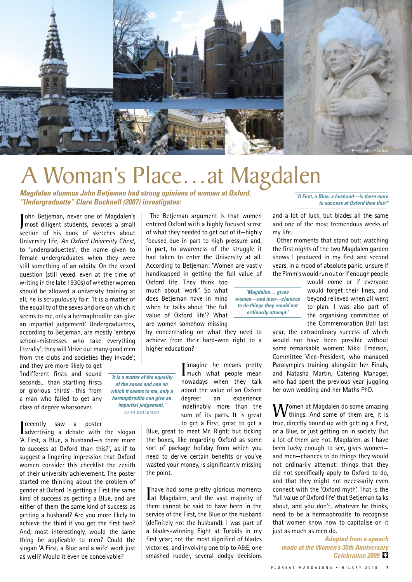

## A Woman's Place…at Magdalen

*Magdalen alumnus John Betjeman had strong opinions of women at Oxford. "Undergraduette" Clare Bucknell (2007) investigates:* 

John Betjeman, never one of Magdalen's<br>most diligent students, devotes a small ohn Betjeman, never one of Magdalen's section of his book of sketches about University life, *An Oxford University Chest*, to 'undergraduettes', the name given to female undergraduates when they were still something of an oddity. On the vexed question (still vexed, even at the time of writing in the late 1930s) of whether women should be allowed a university training at all, he is scrupulously fair: 'It is a matter of the equality of the sexes and one on which it seems to me, only a hermaphrodite can give an impartial judgement.' Undergraduettes, according to Betjeman, are mostly 'embryo school-mistresses who take everything literally'; they will 'drive out many good men from the clubs and societies they invade';

and they are more likely to get 'indifferent firsts and sound seconds... than startling firsts or glorious thirds'—this from a man who failed to get any class of degree whatsoever.

I recently saw a poster<br>
advertising a debate with the slogan 'A First, a Blue, a husband—is there more to success at Oxford than this?', as if to suggest a lingering impression that Oxford women consider this checklist the zenith of their university achievement. The poster started me thinking about the problem of gender at Oxford. Is getting a First the same kind of success as getting a Blue, and are either of them the same kind of success as getting a husband? Are you more likely to achieve the third if you get the first two? And, most interestingly, would the same thing be applicable to men? Could the slogan 'A First, a Blue and a wife' work just as well? Would it even be conceivable?

The Betjeman argument is that women entered Oxford with a highly focused sense of what they needed to get out of it—highly focused due in part to high pressure and, in part, to awareness of the struggle it had taken to enter the University at all. According to Betjeman: 'Women are vastly handicapped in getting the full value of

Oxford life. They think too much about 'work''. So what does Betjeman have in mind when he talks about 'the full value of Oxford life'? What are women somehow missing

by concentrating on what they need to achieve from their hard-won right to a higher education?

*'It is a matter of the equality* 

Imagine he means pretty<br>
much what people mean nowadays when they talk about the value of an Oxford degree: an experience indefinably more than the sum of its parts. It is great to get a First, great to get a

*'Magdalen… gives women—and men—chances to do things they would not ordinarily attempt.'*

Blue, great to meet Mr. Right; but ticking the boxes, like regarding Oxford as some sort of package holiday from which you need to derive certain benefits or you've wasted your money, is significantly missing the point.

I have had some pretty glorious moments at Magdalen, and the vast majority of them cannot be said to have been in the service of the First, the Blue or the husband (definitely not the husband). I was part of a blades-winning Eight at Torpids in my first year; not the most dignified of blades victories, and involving one trip to A&E, one smashed rudder, several dodgy decisions *'A First, a Blue, a husband—is there more to success at Oxford than this?'*

and a lot of luck, but blades all the same and one of the most tremendous weeks of my life.

Other moments that stand out: watching the first nights of the two Magdalen garden shows I produced in my first and second years, in a mood of absolute panic, unsure if the Pimm's would run out or if enough people

> would come or if everyone would forget their lines, and beyond relieved when all went to plan. I was also part of the organising committee of the Commemoration Ball last

year, the extraordinary success of which would not have been possible without some remarkable women: Nikki Emerson, Committee Vice-President, who managed Paralympics training alongside her Finals, and Natasha Martin, Catering Manager, who had spent the previous year juggling her own wedding and her Maths PhD.

**W**omen at Magdalen do some amazing<br>things. And some of them are, it is true, directly bound up with getting a First, or a Blue, or just getting on in society. But a lot of them are not. Magdalen, as I have been lucky enough to see, gives women and men—chances to do things they would not ordinarily attempt: things that they did not specifically apply to Oxford to do, and that they might not necessarily even connect with the 'Oxford myth'. That is the 'full value of Oxford life' that Betjeman talks about, and you don't, whatever he thinks, need to be a hermaphrodite to recognise that women know how to capitalise on it just as much as men do.

*Adapted from a speech made at the Women's 30th Anniversary Celebration 2009* 

*of the sexes and one on which it seems to me, only a hermaphrodite can give an impartial judgement.'* John Betjeman